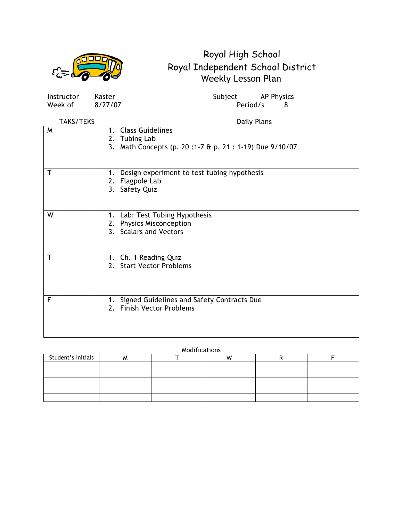

| Instructor | Kaster  | Subject  | <b>AP Physics</b> |  |
|------------|---------|----------|-------------------|--|
| Week of    | 8/27/07 | Period/s |                   |  |

|   | <b>TAKS/TEKS</b> | Daily Plans                                                                                    |
|---|------------------|------------------------------------------------------------------------------------------------|
| M |                  | 1. Class Guidelines<br>2. Tubing Lab<br>3. Math Concepts (p. 20:1-7 & p. 21: 1-19) Due 9/10/07 |
| T |                  | Design experiment to test tubing hypothesis<br>1.<br>Flagpole Lab<br>2.<br>Safety Quiz<br>3.   |
| W |                  | 1. Lab: Test Tubing Hypothesis<br>2. Physics Misconception<br>3. Scalars and Vectors           |
| T |                  | 1. Ch. 1 Reading Quiz<br>2. Start Vector Problems                                              |
| F |                  | Signed Guidelines and Safety Contracts Due<br>1.<br>2. Finish Vector Problems                  |

| Student's Initials |  |  |  |
|--------------------|--|--|--|
|                    |  |  |  |
|                    |  |  |  |
|                    |  |  |  |
|                    |  |  |  |
|                    |  |  |  |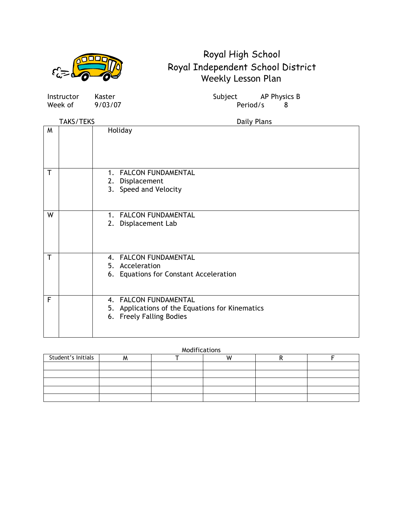

Week of 9/03/07 Period/s 8

Instructor Kaster Subject AP Physics B

TAKS/TEKS Daily Plans M | Holiday T | 1. FALCON FUNDAMENTAL 2. Displacement 3. Speed and Velocity W 1. FALCON FUNDAMENTAL 2. Displacement Lab T | 4. FALCON FUNDAMENTAL 5. Acceleration 6. Equations for Constant Acceleration F | | 4. FALCON FUNDAMENTAL 5. Applications of the Equations for Kinematics 6. Freely Falling Bodies

| Student's Initials |  |  |  |
|--------------------|--|--|--|
|                    |  |  |  |
|                    |  |  |  |
|                    |  |  |  |
|                    |  |  |  |
|                    |  |  |  |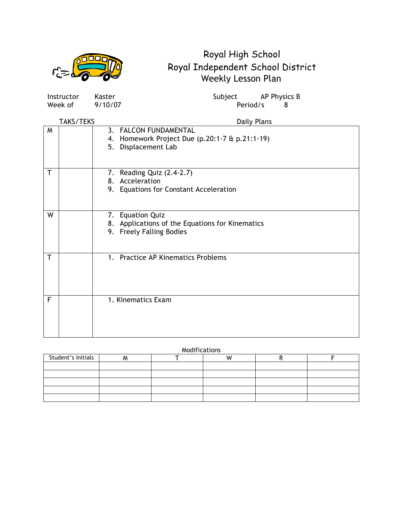

| Instructor       | Kaster                    | AP Physics B<br>Subject                         |
|------------------|---------------------------|-------------------------------------------------|
| Week of          | 9/10/07                   | Period/s<br>8                                   |
|                  |                           |                                                 |
| <b>TAKS/TEKS</b> |                           | Daily Plans                                     |
| M                | 3. FALCON FUNDAMENTAL     |                                                 |
|                  |                           | 4. Homework Project Due (p.20:1-7 & p.21:1-19)  |
|                  | 5. Displacement Lab       |                                                 |
|                  |                           |                                                 |
|                  |                           |                                                 |
| т                | 7. Reading Quiz (2.4-2.7) |                                                 |
|                  | 8. Acceleration           |                                                 |
|                  |                           | 9. Equations for Constant Acceleration          |
|                  |                           |                                                 |
|                  |                           |                                                 |
| W                | 7. Equation Quiz          |                                                 |
|                  |                           | 8. Applications of the Equations for Kinematics |
|                  | 9. Freely Falling Bodies  |                                                 |
|                  |                           |                                                 |
|                  |                           |                                                 |
| т                |                           | 1. Practice AP Kinematics Problems              |
|                  |                           |                                                 |
|                  |                           |                                                 |
|                  |                           |                                                 |
|                  |                           |                                                 |
| F                | 1. Kinematics Exam        |                                                 |
|                  |                           |                                                 |
|                  |                           |                                                 |
|                  |                           |                                                 |
|                  |                           |                                                 |

| Student's Initials |  |  |  |
|--------------------|--|--|--|
|                    |  |  |  |
|                    |  |  |  |
|                    |  |  |  |
|                    |  |  |  |
|                    |  |  |  |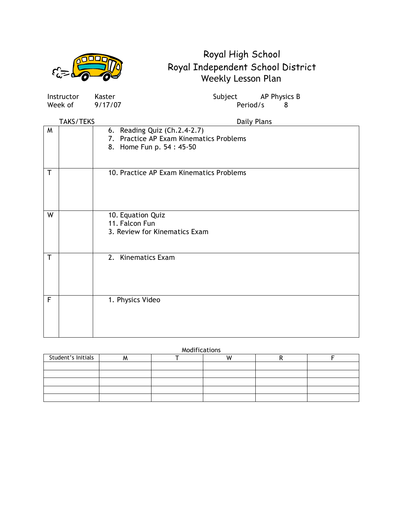|                         |                       |                   | Royal High School<br>Royal Independent School District                                              |
|-------------------------|-----------------------|-------------------|-----------------------------------------------------------------------------------------------------|
|                         |                       |                   | Weekly Lesson Plan                                                                                  |
|                         | Instructor<br>Week of | Kaster<br>9/17/07 | Subject<br>AP Physics B<br>Period/s<br>8                                                            |
|                         | <b>TAKS/TEKS</b>      |                   | <b>Daily Plans</b>                                                                                  |
| M                       |                       |                   | 6. Reading Quiz (Ch.2.4-2.7)<br>7. Practice AP Exam Kinematics Problems<br>8. Home Fun p. 54: 45-50 |
| $\overline{\mathsf{T}}$ |                       |                   | 10. Practice AP Exam Kinematics Problems                                                            |
| W                       |                       |                   | 10. Equation Quiz<br>11. Falcon Fun<br>3. Review for Kinematics Exam                                |
|                         |                       |                   | 2. Kinematics Exam                                                                                  |
| $\mathsf{F}$            |                       |                   | 1. Physics Video                                                                                    |

| Modifications |  |
|---------------|--|
|               |  |

| Student's Initials |  |  |  |
|--------------------|--|--|--|
|                    |  |  |  |
|                    |  |  |  |
|                    |  |  |  |
|                    |  |  |  |
|                    |  |  |  |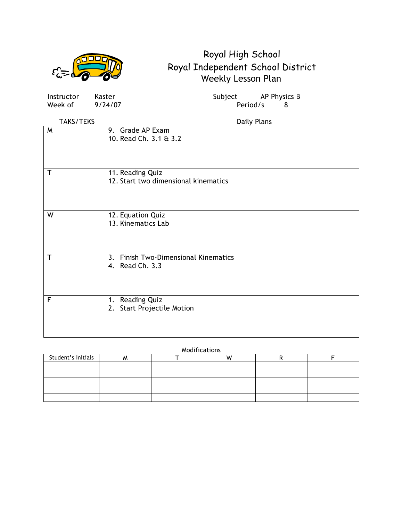|     | W                       |
|-----|-------------------------|
| ビジー | $\overline{\mathbf{a}}$ |

| <b>Instructor</b><br>Week of | Kaster<br>9/24/07                                        | Subject AP Physics B<br>Period/s<br>8 |  |
|------------------------------|----------------------------------------------------------|---------------------------------------|--|
| TAKS/TEKS                    |                                                          | Daily Plans                           |  |
| M                            | 9. Grade AP Exam<br>10. Read Ch. 3.1 & 3.2               |                                       |  |
| $\mathsf{T}$                 | 11. Reading Quiz<br>12. Start two dimensional kinematics |                                       |  |
| W                            | 12. Equation Quiz<br>13. Kinematics Lab                  |                                       |  |
| T                            | 3. Finish Two-Dimensional Kinematics<br>4. Read Ch. 3.3  |                                       |  |
| F                            | 1. Reading Quiz<br>2. Start Projectile Motion            |                                       |  |

| Student's Initials |  |  |  |
|--------------------|--|--|--|
|                    |  |  |  |
|                    |  |  |  |
|                    |  |  |  |
|                    |  |  |  |
|                    |  |  |  |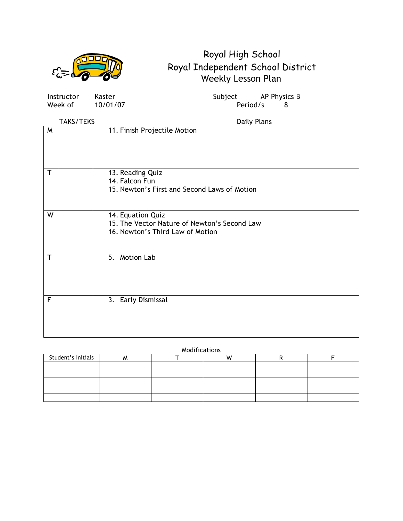

Week of  $10/01/07$  Period/s 8

Instructor Kaster Subject AP Physics B

|   | <b>TAKS/TEKS</b> | Daily Plans                                                                                           |
|---|------------------|-------------------------------------------------------------------------------------------------------|
| W |                  | 11. Finish Projectile Motion                                                                          |
| T |                  | 13. Reading Quiz<br>14. Falcon Fun<br>15. Newton's First and Second Laws of Motion                    |
| W |                  | 14. Equation Quiz<br>15. The Vector Nature of Newton's Second Law<br>16. Newton's Third Law of Motion |
| T |                  | 5. Motion Lab                                                                                         |
| F |                  | 3. Early Dismissal                                                                                    |

| Student's Initials |  |  |  |
|--------------------|--|--|--|
|                    |  |  |  |
|                    |  |  |  |
|                    |  |  |  |
|                    |  |  |  |
|                    |  |  |  |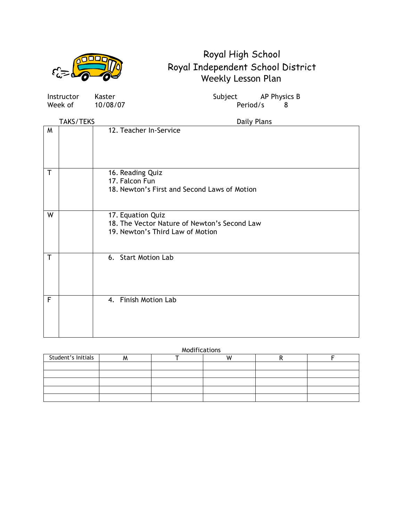

Week of  $10/08/07$  Period/s 8

Instructor Kaster Subject AP Physics B

|              | <b>TAKS/TEKS</b> | Daily Plans                                                                                           |
|--------------|------------------|-------------------------------------------------------------------------------------------------------|
| M            |                  | 12. Teacher In-Service                                                                                |
| T            |                  | 16. Reading Quiz<br>17. Falcon Fun<br>18. Newton's First and Second Laws of Motion                    |
| W            |                  | 17. Equation Quiz<br>18. The Vector Nature of Newton's Second Law<br>19. Newton's Third Law of Motion |
| $\mathsf{T}$ |                  | 6. Start Motion Lab                                                                                   |
| F            |                  | 4. Finish Motion Lab                                                                                  |

| Student's Initials |  |  |  |
|--------------------|--|--|--|
|                    |  |  |  |
|                    |  |  |  |
|                    |  |  |  |
|                    |  |  |  |
|                    |  |  |  |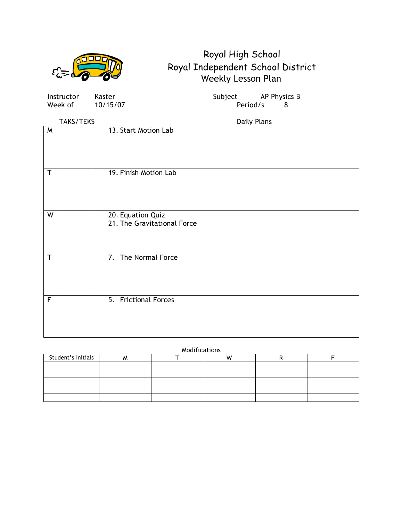

Week of 10/15/07 Period/s 8

Instructor Kaster Subject AP Physics B

|             | TAKS/TEKS | Daily Plans                                      |
|-------------|-----------|--------------------------------------------------|
| W           |           | 13. Start Motion Lab                             |
| $\mathsf T$ |           | 19. Finish Motion Lab                            |
| W           |           | 20. Equation Quiz<br>21. The Gravitational Force |
| $\mathsf T$ |           | 7. The Normal Force                              |
| $\mathsf F$ |           | 5. Frictional Forces                             |

| Student's Initials |  |  |  |
|--------------------|--|--|--|
|                    |  |  |  |
|                    |  |  |  |
|                    |  |  |  |
|                    |  |  |  |
|                    |  |  |  |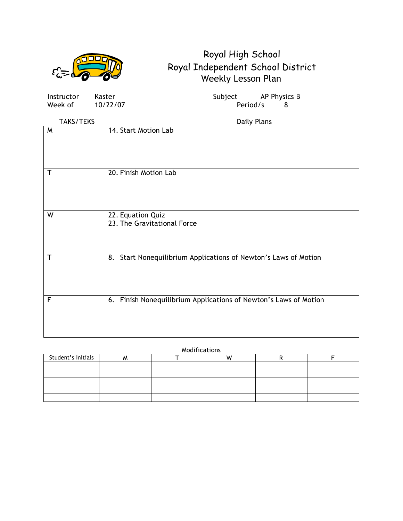

| Instructor | Kaster   | Subject  | AP Physi |  |
|------------|----------|----------|----------|--|
| Week of    | 10/22/07 | Period/s |          |  |

Instructor Kaster Subject AP Physics B

|              | <b>TAKS/TEKS</b> | Daily Plans                                                      |
|--------------|------------------|------------------------------------------------------------------|
| M            |                  | 14. Start Motion Lab                                             |
| T            |                  | 20. Finish Motion Lab                                            |
| W            |                  | 22. Equation Quiz<br>23. The Gravitational Force                 |
| T            |                  | 8. Start Nonequilibrium Applications of Newton's Laws of Motion  |
| $\mathsf{F}$ |                  | 6. Finish Nonequilibrium Applications of Newton's Laws of Motion |

| Modifications |  |
|---------------|--|
|               |  |

| Student's Initials |  |  |  |
|--------------------|--|--|--|
|                    |  |  |  |
|                    |  |  |  |
|                    |  |  |  |
|                    |  |  |  |
|                    |  |  |  |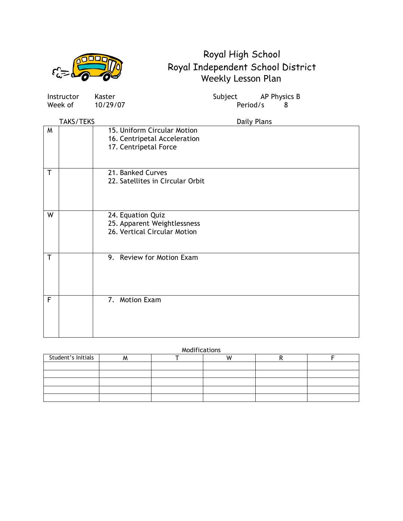

|              | Instructor | Kaster                                                                               | Subject     | AP Physics B |   |
|--------------|------------|--------------------------------------------------------------------------------------|-------------|--------------|---|
|              | Week of    | 10/29/07                                                                             | Period/s    |              | 8 |
|              | TAKS/TEKS  |                                                                                      | Daily Plans |              |   |
| M            |            | 15. Uniform Circular Motion<br>16. Centripetal Acceleration<br>17. Centripetal Force |             |              |   |
| $\mathsf{T}$ |            | 21. Banked Curves<br>22. Satellites in Circular Orbit                                |             |              |   |
| W            |            | 24. Equation Quiz<br>25. Apparent Weightlessness<br>26. Vertical Circular Motion     |             |              |   |
| T            |            | 9. Review for Motion Exam                                                            |             |              |   |
| F            |            | 7. Motion Exam                                                                       |             |              |   |

| Modifications |  |  |  |  |
|---------------|--|--|--|--|
|---------------|--|--|--|--|

| Student's Initials |  |  |  |
|--------------------|--|--|--|
|                    |  |  |  |
|                    |  |  |  |
|                    |  |  |  |
|                    |  |  |  |
|                    |  |  |  |